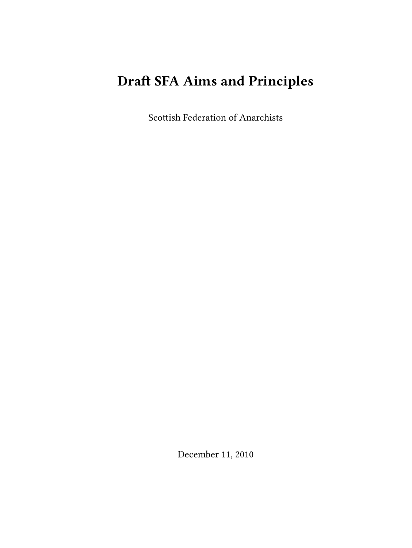## **Draft SFA Aims and Principles**

Scottish Federation of Anarchists

December 11, 2010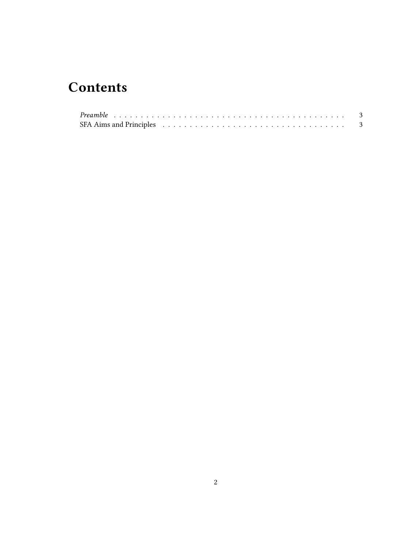## **Contents**

| SFA Aims and Principles $\ldots \ldots \ldots \ldots \ldots \ldots \ldots \ldots \ldots \ldots \ldots \ldots$ |  |  |  |  |  |  |  |  |  |  |  |  |  |  |  |  |  |  |
|---------------------------------------------------------------------------------------------------------------|--|--|--|--|--|--|--|--|--|--|--|--|--|--|--|--|--|--|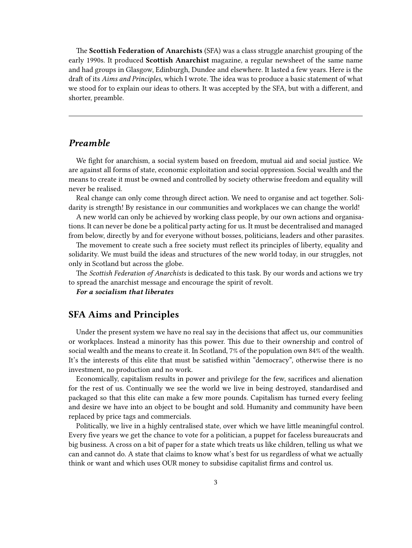The **Scottish Federation of Anarchists** (SFA) was a class struggle anarchist grouping of the early 1990s. It produced **Scottish Anarchist** magazine, a regular newsheet of the same name and had groups in Glasgow, Edinburgh, Dundee and elsewhere. It lasted a few years. Here is the draft of its *Aims and Principles*, which I wrote. The idea was to produce a basic statement of what we stood for to explain our ideas to others. It was accepted by the SFA, but with a different, and shorter, preamble.

## <span id="page-2-0"></span>*Preamble*

We fight for anarchism, a social system based on freedom, mutual aid and social justice. We are against all forms of state, economic exploitation and social oppression. Social wealth and the means to create it must be owned and controlled by society otherwise freedom and equality will never be realised.

Real change can only come through direct action. We need to organise and act together. Solidarity is strength! By resistance in our communities and workplaces we can change the world!

A new world can only be achieved by working class people, by our own actions and organisations. It can never be done be a political party acting for us. It must be decentralised and managed from below, directly by and for everyone without bosses, politicians, leaders and other parasites.

The movement to create such a free society must reflect its principles of liberty, equality and solidarity. We must build the ideas and structures of the new world today, in our struggles, not only in Scotland but across the globe.

The *Scottish Federation of Anarchists* is dedicated to this task. By our words and actions we try to spread the anarchist message and encourage the spirit of revolt.

*For a socialism that liberates*

## <span id="page-2-1"></span>**SFA Aims and Principles**

Under the present system we have no real say in the decisions that affect us, our communities or workplaces. Instead a minority has this power. This due to their ownership and control of social wealth and the means to create it. In Scotland, 7% of the population own 84% of the wealth. It's the interests of this elite that must be satisfied within "democracy", otherwise there is no investment, no production and no work.

Economically, capitalism results in power and privilege for the few, sacrifices and alienation for the rest of us. Continually we see the world we live in being destroyed, standardised and packaged so that this elite can make a few more pounds. Capitalism has turned every feeling and desire we have into an object to be bought and sold. Humanity and community have been replaced by price tags and commercials.

Politically, we live in a highly centralised state, over which we have little meaningful control. Every five years we get the chance to vote for a politician, a puppet for faceless bureaucrats and big business. A cross on a bit of paper for a state which treats us like children, telling us what we can and cannot do. A state that claims to know what's best for us regardless of what we actually think or want and which uses OUR money to subsidise capitalist firms and control us.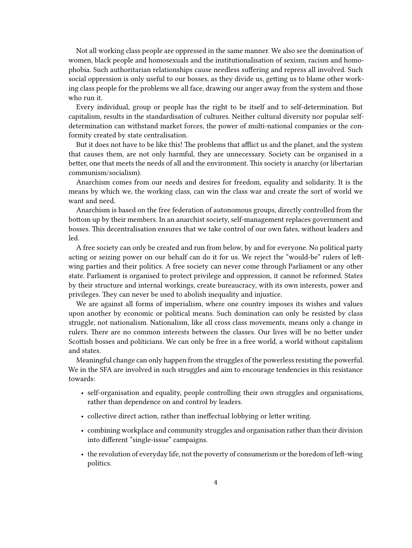Not all working class people are oppressed in the same manner. We also see the domination of women, black people and homosexuals and the institutionalisation of sexism, racism and homophobia. Such authoritarian relationships cause needless suffering and repress all involved. Such social oppression is only useful to our bosses, as they divide us, getting us to blame other working class people for the problems we all face, drawing our anger away from the system and those who run it.

Every individual, group or people has the right to be itself and to self-determination. But capitalism, results in the standardisation of cultures. Neither cultural diversity nor popular selfdetermination can withstand market forces, the power of multi-national companies or the conformity created by state centralisation.

But it does not have to be like this! The problems that afflict us and the planet, and the system that causes them, are not only harmful, they are unnecessary. Society can be organised in a better, one that meets the needs of all and the environment. This society is anarchy (or libertarian communism/socialism).

Anarchism comes from our needs and desires for freedom, equality and solidarity. It is the means by which we, the working class, can win the class war and create the sort of world we want and need.

Anarchism is based on the free federation of autonomous groups, directly controlled from the bottom up by their members. In an anarchist society, self-management replaces government and bosses. This decentralisation ensures that we take control of our own fates, without leaders and led.

A free society can only be created and run from below, by and for everyone. No political party acting or seizing power on our behalf can do it for us. We reject the "would-be" rulers of leftwing parties and their politics. A free society can never come through Parliament or any other state. Parliament is organised to protect privilege and oppression, it cannot be reformed. States by their structure and internal workings, create bureaucracy, with its own interests, power and privileges. They can never be used to abolish inequality and injustice.

We are against all forms of imperialism, where one country imposes its wishes and values upon another by economic or political means. Such domination can only be resisted by class struggle, not nationalism. Nationalism, like all cross class movements, means only a change in rulers. There are no common interests between the classes. Our lives will be no better under Scottish bosses and politicians. We can only be free in a free world, a world without capitalism and states.

Meaningful change can only happen from the struggles of the powerless resisting the powerful. We in the SFA are involved in such struggles and aim to encourage tendencies in this resistance towards:

- self-organisation and equality, people controlling their own struggles and organisations, rather than dependence on and control by leaders.
- collective direct action, rather than ineffectual lobbying or letter writing.
- combining workplace and community struggles and organisation rather than their division into different "single-issue" campaigns.
- the revolution of everyday life, not the poverty of consumerism or the boredom of left-wing politics.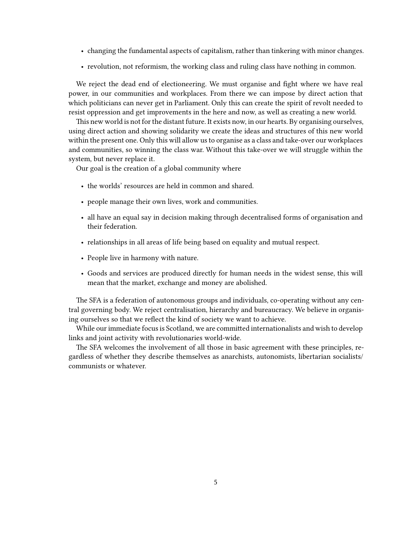- changing the fundamental aspects of capitalism, rather than tinkering with minor changes.
- revolution, not reformism, the working class and ruling class have nothing in common.

We reject the dead end of electioneering. We must organise and fight where we have real power, in our communities and workplaces. From there we can impose by direct action that which politicians can never get in Parliament. Only this can create the spirit of revolt needed to resist oppression and get improvements in the here and now, as well as creating a new world.

This new world is not for the distant future. It exists now, in our hearts. By organising ourselves, using direct action and showing solidarity we create the ideas and structures of this new world within the present one. Only this will allow us to organise as a class and take-over our workplaces and communities, so winning the class war. Without this take-over we will struggle within the system, but never replace it.

Our goal is the creation of a global community where

- the worlds' resources are held in common and shared.
- people manage their own lives, work and communities.
- all have an equal say in decision making through decentralised forms of organisation and their federation.
- relationships in all areas of life being based on equality and mutual respect.
- People live in harmony with nature.
- Goods and services are produced directly for human needs in the widest sense, this will mean that the market, exchange and money are abolished.

The SFA is a federation of autonomous groups and individuals, co-operating without any central governing body. We reject centralisation, hierarchy and bureaucracy. We believe in organising ourselves so that we reflect the kind of society we want to achieve.

While our immediate focus is Scotland, we are committed internationalists and wish to develop links and joint activity with revolutionaries world-wide.

The SFA welcomes the involvement of all those in basic agreement with these principles, regardless of whether they describe themselves as anarchists, autonomists, libertarian socialists/ communists or whatever.